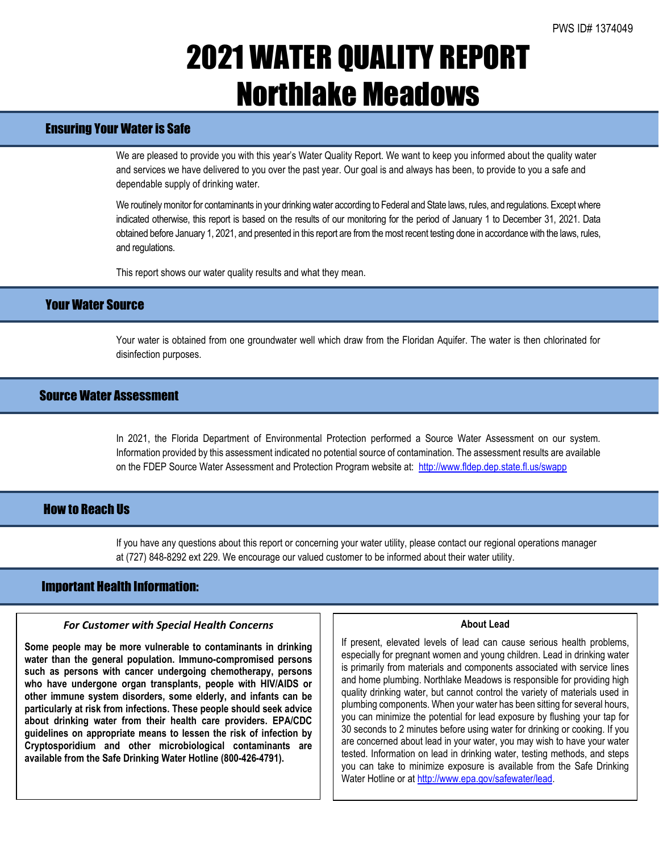# 2021 WATER QUALITY REPORT Northlake Meadows

# Ensuring Your Water is Safe

We are pleased to provide you with this year's Water Quality Report. We want to keep you informed about the quality water and services we have delivered to you over the past year. Our goal is and always has been, to provide to you a safe and dependable supply of drinking water.

We routinely monitor for contaminants in your drinking water according to Federal and State laws, rules, and regulations. Except where indicated otherwise, this report is based on the results of our monitoring for the period of January 1 to December 31, 2021. Data obtained before January 1, 2021, and presented in this report are from the most recent testing done in accordance with the laws, rules, and regulations.

This report shows our water quality results and what they mean.

## Your Water Source

Your water is obtained from one groundwater well which draw from the Floridan Aquifer. The water is then chlorinated for disinfection purposes.

## Source Water Assessment

In 2021, the Florida Department of Environmental Protection performed a Source Water Assessment on our system. Information provided by this assessment indicated no potential source of contamination. The assessment results are available on the FDEP Source Water Assessment and Protection Program website at: <http://www.fldep.dep.state.fl.us/swapp>

## **How to Reach IIs**

If you have any questions about this report or concerning your water utility, please contact our regional operations manager at (727) 848-8292 ext 229. We encourage our valued customer to be informed about their water utility.

## Important Health Information:

l

### *For Customer with Special Health Concerns*

**Some people may be more vulnerable to contaminants in drinking water than the general population. Immuno-compromised persons such as persons with cancer undergoing chemotherapy, persons who have undergone organ transplants, people with HIV/AIDS or other immune system disorders, some elderly, and infants can be particularly at risk from infections. These people should seek advice about drinking water from their health care providers. EPA/CDC guidelines on appropriate means to lessen the risk of infection by Cryptosporidium and other microbiological contaminants are available from the Safe Drinking Water Hotline (800-426-4791).**

#### **About Lead**

If present, elevated levels of lead can cause serious health problems, especially for pregnant women and young children. Lead in drinking water is primarily from materials and components associated with service lines and home plumbing. Northlake Meadows is responsible for providing high quality drinking water, but cannot control the variety of materials used in plumbing components. When your water has been sitting for several hours, you can minimize the potential for lead exposure by flushing your tap for 30 seconds to 2 minutes before using water for drinking or cooking. If you are concerned about lead in your water, you may wish to have your water tested. Information on lead in drinking water, testing methods, and steps you can take to minimize exposure is available from the Safe Drinking Water Hotline or at http://www.epa.gov/safewater/lead.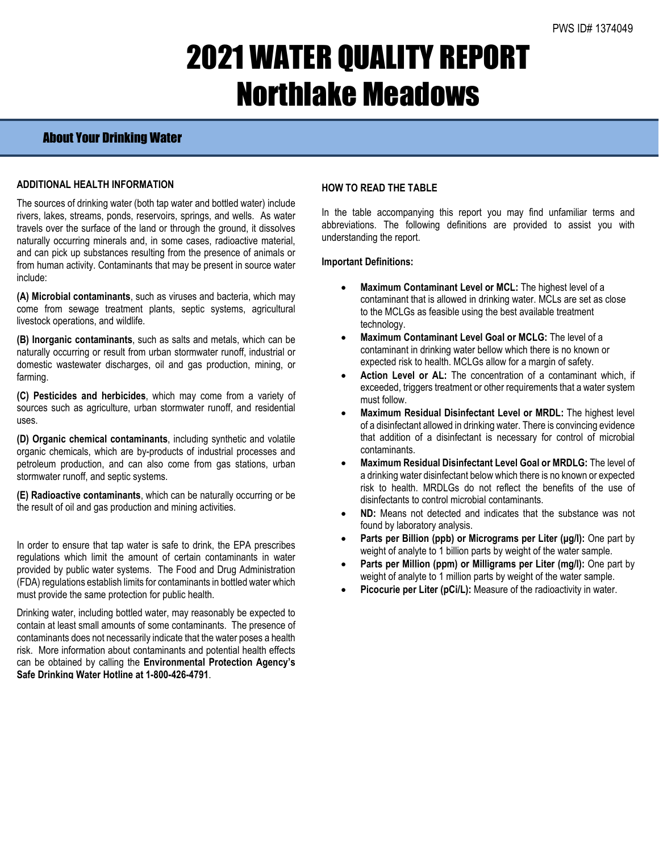# 2021 WATER QUALITY REPORT Northlake Meadows

## About Your Drinking Water

### **ADDITIONAL HEALTH INFORMATION**

The sources of drinking water (both tap water and bottled water) include rivers, lakes, streams, ponds, reservoirs, springs, and wells. As water travels over the surface of the land or through the ground, it dissolves naturally occurring minerals and, in some cases, radioactive material, and can pick up substances resulting from the presence of animals or from human activity. Contaminants that may be present in source water include:

**(A) Microbial contaminants**, such as viruses and bacteria, which may come from sewage treatment plants, septic systems, agricultural livestock operations, and wildlife.

**(B) Inorganic contaminants**, such as salts and metals, which can be naturally occurring or result from urban stormwater runoff, industrial or domestic wastewater discharges, oil and gas production, mining, or farming.

**(C) Pesticides and herbicides**, which may come from a variety of sources such as agriculture, urban stormwater runoff, and residential uses.

**(D) Organic chemical contaminants**, including synthetic and volatile organic chemicals, which are by-products of industrial processes and petroleum production, and can also come from gas stations, urban stormwater runoff, and septic systems.

**(E) Radioactive contaminants**, which can be naturally occurring or be the result of oil and gas production and mining activities.

In order to ensure that tap water is safe to drink, the EPA prescribes regulations which limit the amount of certain contaminants in water provided by public water systems. The Food and Drug Administration (FDA) regulations establish limits for contaminants in bottled water which must provide the same protection for public health.

Drinking water, including bottled water, may reasonably be expected to contain at least small amounts of some contaminants. The presence of contaminants does not necessarily indicate that the water poses a health risk. More information about contaminants and potential health effects can be obtained by calling the **Environmental Protection Agency's Safe Drinking Water Hotline at 1-800-426-4791**.

#### **HOW TO READ THE TABLE**

In the table accompanying this report you may find unfamiliar terms and abbreviations. The following definitions are provided to assist you with understanding the report.

#### **Important Definitions:**

- **Maximum Contaminant Level or MCL:** The highest level of a contaminant that is allowed in drinking water. MCLs are set as close to the MCLGs as feasible using the best available treatment technology.
- **Maximum Contaminant Level Goal or MCLG:** The level of a contaminant in drinking water bellow which there is no known or expected risk to health. MCLGs allow for a margin of safety.
- Action Level or AL: The concentration of a contaminant which, if exceeded, triggers treatment or other requirements that a water system must follow.
- **Maximum Residual Disinfectant Level or MRDL:** The highest level of a disinfectant allowed in drinking water. There is convincing evidence that addition of a disinfectant is necessary for control of microbial contaminants.
- **Maximum Residual Disinfectant Level Goal or MRDLG:** The level of a drinking water disinfectant below which there is no known or expected risk to health. MRDLGs do not reflect the benefits of the use of disinfectants to control microbial contaminants.
- **ND:** Means not detected and indicates that the substance was not found by laboratory analysis.
- **Parts per Billion (ppb) or Micrograms per Liter (μg/l):** One part by weight of analyte to 1 billion parts by weight of the water sample.
- **Parts per Million (ppm) or Milligrams per Liter (mg/l):** One part by weight of analyte to 1 million parts by weight of the water sample.
- **Picocurie per Liter (pCi/L):** Measure of the radioactivity in water.